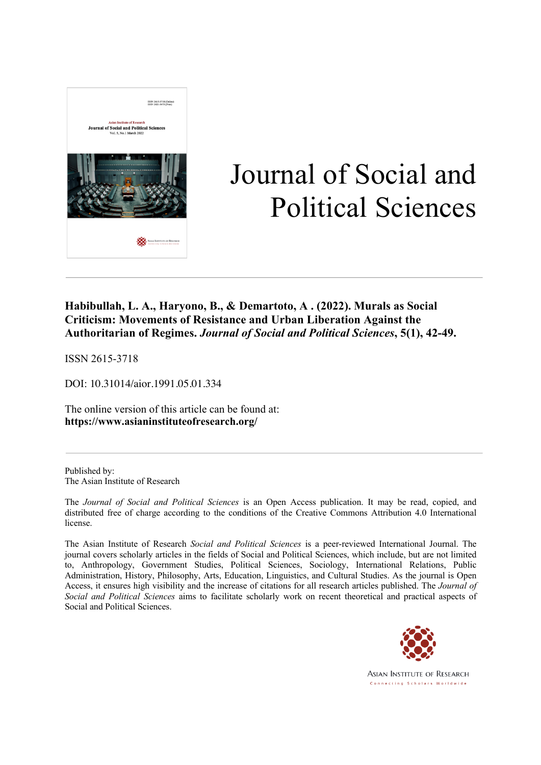

# Journal of Social and Political Sciences

### **Habibullah, L. A., Haryono, B., & Demartoto, A . (2022). Murals as Social Criticism: Movements of Resistance and Urban Liberation Against the Authoritarian of Regimes.** *Journal of Social and Political Sciences***, 5(1), 42-49.**

ISSN 2615-3718

DOI: 10.31014/aior.1991.05.01.334

The online version of this article can be found at: **https://www.asianinstituteofresearch.org/**

Published by: The Asian Institute of Research

The *Journal of Social and Political Sciences* is an Open Access publication. It may be read, copied, and distributed free of charge according to the conditions of the Creative Commons Attribution 4.0 International license.

The Asian Institute of Research *Social and Political Sciences* is a peer-reviewed International Journal. The journal covers scholarly articles in the fields of Social and Political Sciences, which include, but are not limited to, Anthropology, Government Studies, Political Sciences, Sociology, International Relations, Public Administration, History, Philosophy, Arts, Education, Linguistics, and Cultural Studies. As the journal is Open Access, it ensures high visibility and the increase of citations for all research articles published. The *Journal of Social and Political Sciences* aims to facilitate scholarly work on recent theoretical and practical aspects of Social and Political Sciences.



**ASIAN INSTITUTE OF RESEARCH** Connecting Scholars Worldwide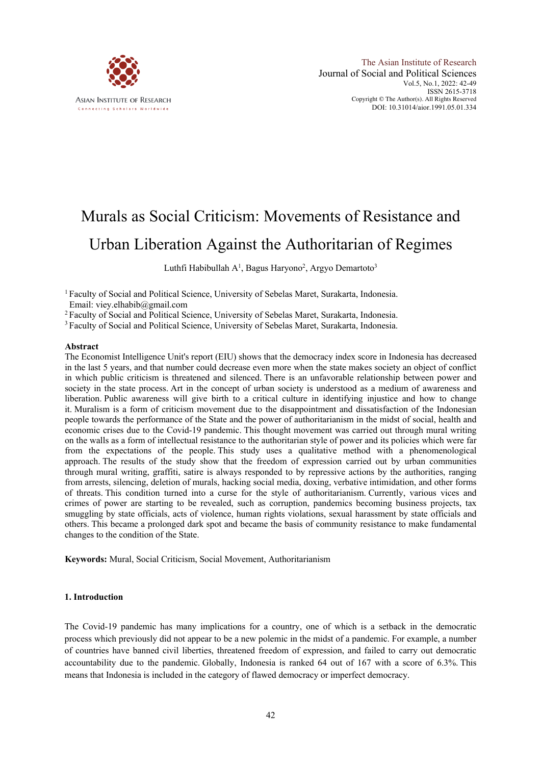

## Murals as Social Criticism: Movements of Resistance and Urban Liberation Against the Authoritarian of Regimes

Luthfi Habibullah A<sup>1</sup>, Bagus Haryono<sup>2</sup>, Argyo Demartoto<sup>3</sup>

<sup>1</sup> Faculty of Social and Political Science, University of Sebelas Maret, Surakarta, Indonesia. Email: viey.elhabib@gmail.com

<sup>2</sup> Faculty of Social and Political Science, University of Sebelas Maret, Surakarta, Indonesia.

<sup>3</sup> Faculty of Social and Political Science, University of Sebelas Maret, Surakarta, Indonesia.

#### **Abstract**

The Economist Intelligence Unit's report (EIU) shows that the democracy index score in Indonesia has decreased in the last 5 years, and that number could decrease even more when the state makes society an object of conflict in which public criticism is threatened and silenced. There is an unfavorable relationship between power and society in the state process. Art in the concept of urban society is understood as a medium of awareness and liberation. Public awareness will give birth to a critical culture in identifying injustice and how to change it. Muralism is a form of criticism movement due to the disappointment and dissatisfaction of the Indonesian people towards the performance of the State and the power of authoritarianism in the midst of social, health and economic crises due to the Covid-19 pandemic. This thought movement was carried out through mural writing on the walls as a form of intellectual resistance to the authoritarian style of power and its policies which were far from the expectations of the people. This study uses a qualitative method with a phenomenological approach. The results of the study show that the freedom of expression carried out by urban communities through mural writing, graffiti, satire is always responded to by repressive actions by the authorities, ranging from arrests, silencing, deletion of murals, hacking social media, doxing, verbative intimidation, and other forms of threats. This condition turned into a curse for the style of authoritarianism. Currently, various vices and crimes of power are starting to be revealed, such as corruption, pandemics becoming business projects, tax smuggling by state officials, acts of violence, human rights violations, sexual harassment by state officials and others. This became a prolonged dark spot and became the basis of community resistance to make fundamental changes to the condition of the State.

**Keywords:** Mural, Social Criticism, Social Movement, Authoritarianism

#### **1. Introduction**

The Covid-19 pandemic has many implications for a country, one of which is a setback in the democratic process which previously did not appear to be a new polemic in the midst of a pandemic. For example, a number of countries have banned civil liberties, threatened freedom of expression, and failed to carry out democratic accountability due to the pandemic. Globally, Indonesia is ranked 64 out of 167 with a score of 6.3%. This means that Indonesia is included in the category of flawed democracy or imperfect democracy.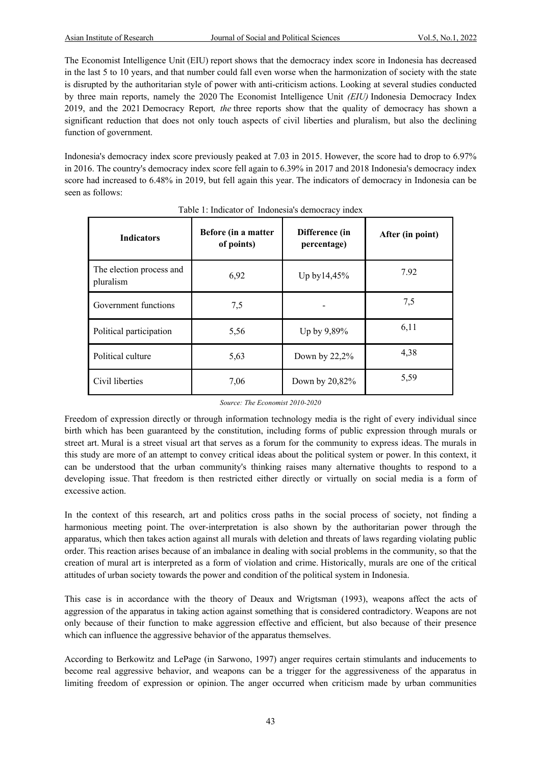The Economist Intelligence Unit (EIU) report shows that the democracy index score in Indonesia has decreased in the last 5 to 10 years, and that number could fall even worse when the harmonization of society with the state is disrupted by the authoritarian style of power with anti-criticism actions. Looking at several studies conducted by three main reports, namely the 2020 The Economist Intelligence Unit *(EIU)* Indonesia Democracy Index 2019, and the 2021 Democracy Report*, the* three reports show that the quality of democracy has shown a significant reduction that does not only touch aspects of civil liberties and pluralism, but also the declining function of government.

Indonesia's democracy index score previously peaked at 7.03 in 2015. However, the score had to drop to 6.97% in 2016. The country's democracy index score fell again to 6.39% in 2017 and 2018 Indonesia's democracy index score had increased to 6.48% in 2019, but fell again this year. The indicators of democracy in Indonesia can be seen as follows:

| <b>Indicators</b>                     | Before (in a matter<br>of points) | Difference (in<br>percentage) | After (in point) |
|---------------------------------------|-----------------------------------|-------------------------------|------------------|
| The election process and<br>pluralism | 6,92                              | Up by 14,45%                  | 7.92             |
| Government functions                  | 7,5                               |                               | 7,5              |
| Political participation               | 5,56                              | Up by 9,89%                   | 6,11             |
| Political culture                     | 5,63                              | Down by 22,2%                 | 4,38             |
| Civil liberties                       | 7,06                              | Down by 20,82%                | 5,59             |

| Table 1: Indicator of Indonesia's democracy index |  |  |
|---------------------------------------------------|--|--|
|                                                   |  |  |

#### *Source: The Economist 2010-2020*

Freedom of expression directly or through information technology media is the right of every individual since birth which has been guaranteed by the constitution, including forms of public expression through murals or street art. Mural is a street visual art that serves as a forum for the community to express ideas. The murals in this study are more of an attempt to convey critical ideas about the political system or power. In this context, it can be understood that the urban community's thinking raises many alternative thoughts to respond to a developing issue. That freedom is then restricted either directly or virtually on social media is a form of excessive action.

In the context of this research, art and politics cross paths in the social process of society, not finding a harmonious meeting point. The over-interpretation is also shown by the authoritarian power through the apparatus, which then takes action against all murals with deletion and threats of laws regarding violating public order. This reaction arises because of an imbalance in dealing with social problems in the community, so that the creation of mural art is interpreted as a form of violation and crime. Historically, murals are one of the critical attitudes of urban society towards the power and condition of the political system in Indonesia.

This case is in accordance with the theory of Deaux and Wrigtsman (1993), weapons affect the acts of aggression of the apparatus in taking action against something that is considered contradictory. Weapons are not only because of their function to make aggression effective and efficient, but also because of their presence which can influence the aggressive behavior of the apparatus themselves.

According to Berkowitz and LePage (in Sarwono, 1997) anger requires certain stimulants and inducements to become real aggressive behavior, and weapons can be a trigger for the aggressiveness of the apparatus in limiting freedom of expression or opinion. The anger occurred when criticism made by urban communities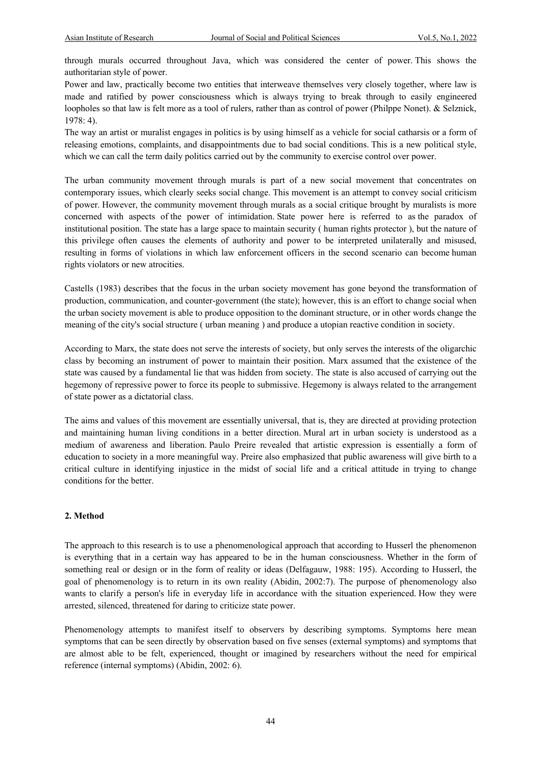through murals occurred throughout Java, which was considered the center of power. This shows the authoritarian style of power.

Power and law, practically become two entities that interweave themselves very closely together, where law is made and ratified by power consciousness which is always trying to break through to easily engineered loopholes so that law is felt more as a tool of rulers, rather than as control of power (Philppe Nonet). & Selznick, 1978: 4).

The way an artist or muralist engages in politics is by using himself as a vehicle for social catharsis or a form of releasing emotions, complaints, and disappointments due to bad social conditions. This is a new political style, which we can call the term daily politics carried out by the community to exercise control over power.

The urban community movement through murals is part of a new social movement that concentrates on contemporary issues, which clearly seeks social change. This movement is an attempt to convey social criticism of power. However, the community movement through murals as a social critique brought by muralists is more concerned with aspects of the power of intimidation. State power here is referred to as the paradox of institutional position. The state has a large space to maintain security ( human rights protector ), but the nature of this privilege often causes the elements of authority and power to be interpreted unilaterally and misused, resulting in forms of violations in which law enforcement officers in the second scenario can become human rights violators or new atrocities.

Castells (1983) describes that the focus in the urban society movement has gone beyond the transformation of production, communication, and counter-government (the state); however, this is an effort to change social when the urban society movement is able to produce opposition to the dominant structure, or in other words change the meaning of the city's social structure ( urban meaning ) and produce a utopian reactive condition in society.

According to Marx, the state does not serve the interests of society, but only serves the interests of the oligarchic class by becoming an instrument of power to maintain their position. Marx assumed that the existence of the state was caused by a fundamental lie that was hidden from society. The state is also accused of carrying out the hegemony of repressive power to force its people to submissive. Hegemony is always related to the arrangement of state power as a dictatorial class.

The aims and values of this movement are essentially universal, that is, they are directed at providing protection and maintaining human living conditions in a better direction. Mural art in urban society is understood as a medium of awareness and liberation. Paulo Preire revealed that artistic expression is essentially a form of education to society in a more meaningful way. Preire also emphasized that public awareness will give birth to a critical culture in identifying injustice in the midst of social life and a critical attitude in trying to change conditions for the better.

#### **2. Method**

The approach to this research is to use a phenomenological approach that according to Husserl the phenomenon is everything that in a certain way has appeared to be in the human consciousness. Whether in the form of something real or design or in the form of reality or ideas (Delfagauw, 1988: 195). According to Husserl, the goal of phenomenology is to return in its own reality (Abidin, 2002:7). The purpose of phenomenology also wants to clarify a person's life in everyday life in accordance with the situation experienced. How they were arrested, silenced, threatened for daring to criticize state power.

Phenomenology attempts to manifest itself to observers by describing symptoms. Symptoms here mean symptoms that can be seen directly by observation based on five senses (external symptoms) and symptoms that are almost able to be felt, experienced, thought or imagined by researchers without the need for empirical reference (internal symptoms) (Abidin, 2002: 6).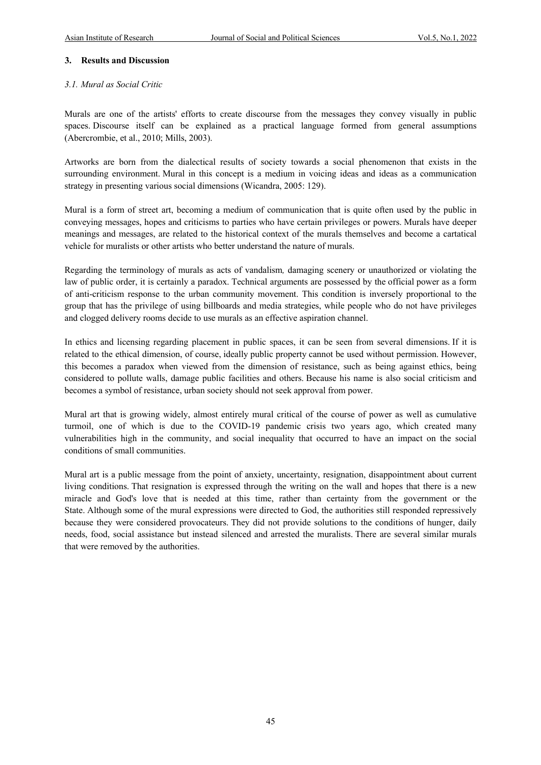#### **3. Results and Discussion**

#### *3.1. Mural as Social Critic*

Murals are one of the artists' efforts to create discourse from the messages they convey visually in public spaces. Discourse itself can be explained as a practical language formed from general assumptions (Abercrombie, et al., 2010; Mills, 2003).

Artworks are born from the dialectical results of society towards a social phenomenon that exists in the surrounding environment. Mural in this concept is a medium in voicing ideas and ideas as a communication strategy in presenting various social dimensions (Wicandra, 2005: 129).

Mural is a form of street art, becoming a medium of communication that is quite often used by the public in conveying messages, hopes and criticisms to parties who have certain privileges or powers. Murals have deeper meanings and messages, are related to the historical context of the murals themselves and become a cartatical vehicle for muralists or other artists who better understand the nature of murals.

Regarding the terminology of murals as acts of vandalism*,* damaging scenery or unauthorized or violating the law of public order, it is certainly a paradox. Technical arguments are possessed by the official power as a form of anti-criticism response to the urban community movement. This condition is inversely proportional to the group that has the privilege of using billboards and media strategies, while people who do not have privileges and clogged delivery rooms decide to use murals as an effective aspiration channel.

In ethics and licensing regarding placement in public spaces, it can be seen from several dimensions. If it is related to the ethical dimension, of course, ideally public property cannot be used without permission. However, this becomes a paradox when viewed from the dimension of resistance, such as being against ethics, being considered to pollute walls, damage public facilities and others. Because his name is also social criticism and becomes a symbol of resistance, urban society should not seek approval from power.

Mural art that is growing widely, almost entirely mural critical of the course of power as well as cumulative turmoil, one of which is due to the COVID-19 pandemic crisis two years ago, which created many vulnerabilities high in the community, and social inequality that occurred to have an impact on the social conditions of small communities.

Mural art is a public message from the point of anxiety, uncertainty, resignation, disappointment about current living conditions. That resignation is expressed through the writing on the wall and hopes that there is a new miracle and God's love that is needed at this time, rather than certainty from the government or the State. Although some of the mural expressions were directed to God, the authorities still responded repressively because they were considered provocateurs. They did not provide solutions to the conditions of hunger, daily needs, food, social assistance but instead silenced and arrested the muralists. There are several similar murals that were removed by the authorities.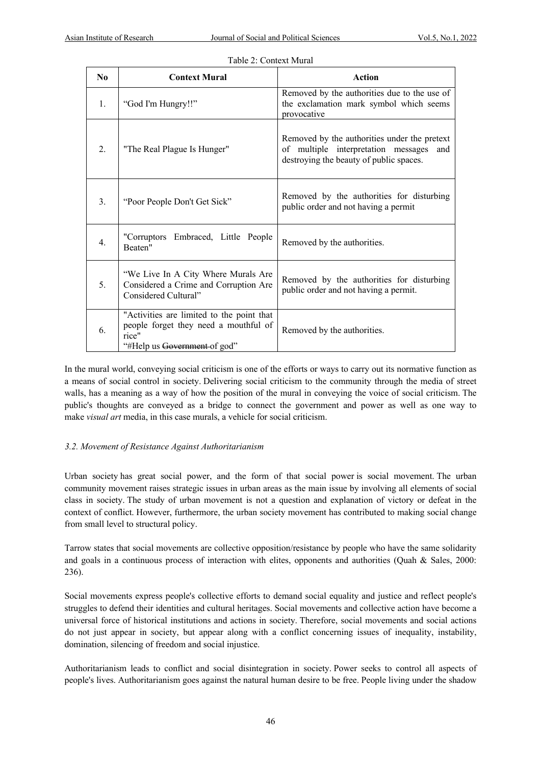| $\bf N_0$        | <b>Context Mural</b>                                                                                                        | Action                                                                                                                                |
|------------------|-----------------------------------------------------------------------------------------------------------------------------|---------------------------------------------------------------------------------------------------------------------------------------|
| 1.               | "God I'm Hungry!!"                                                                                                          | Removed by the authorities due to the use of<br>the exclamation mark symbol which seems<br>provocative                                |
| 2.               | "The Real Plague Is Hunger"                                                                                                 | Removed by the authorities under the pretext<br>of multiple interpretation messages<br>and<br>destroying the beauty of public spaces. |
| 3.               | "Poor People Don't Get Sick"                                                                                                | Removed by the authorities for disturbing<br>public order and not having a permit                                                     |
| $\overline{4}$ . | "Corruptors Embraced, Little People<br>Beaten"                                                                              | Removed by the authorities.                                                                                                           |
| 5.               | "We Live In A City Where Murals Are<br>Considered a Crime and Corruption Are<br>Considered Cultural"                        | Removed by the authorities for disturbing<br>public order and not having a permit.                                                    |
| 6.               | "Activities are limited to the point that<br>people forget they need a mouthful of<br>rice"<br>"#Help us Government of god" | Removed by the authorities.                                                                                                           |

#### Table 2: Context Mural

In the mural world, conveying social criticism is one of the efforts or ways to carry out its normative function as a means of social control in society. Delivering social criticism to the community through the media of street walls, has a meaning as a way of how the position of the mural in conveying the voice of social criticism. The public's thoughts are conveyed as a bridge to connect the government and power as well as one way to make *visual art* media, in this case murals, a vehicle for social criticism.

#### *3.2. Movement of Resistance Against Authoritarianism*

Urban society has great social power, and the form of that social power is social movement. The urban community movement raises strategic issues in urban areas as the main issue by involving all elements of social class in society. The study of urban movement is not a question and explanation of victory or defeat in the context of conflict. However, furthermore, the urban society movement has contributed to making social change from small level to structural policy.

Tarrow states that social movements are collective opposition/resistance by people who have the same solidarity and goals in a continuous process of interaction with elites, opponents and authorities (Quah & Sales, 2000: 236).

Social movements express people's collective efforts to demand social equality and justice and reflect people's struggles to defend their identities and cultural heritages. Social movements and collective action have become a universal force of historical institutions and actions in society. Therefore, social movements and social actions do not just appear in society, but appear along with a conflict concerning issues of inequality, instability, domination, silencing of freedom and social injustice.

Authoritarianism leads to conflict and social disintegration in society. Power seeks to control all aspects of people's lives. Authoritarianism goes against the natural human desire to be free. People living under the shadow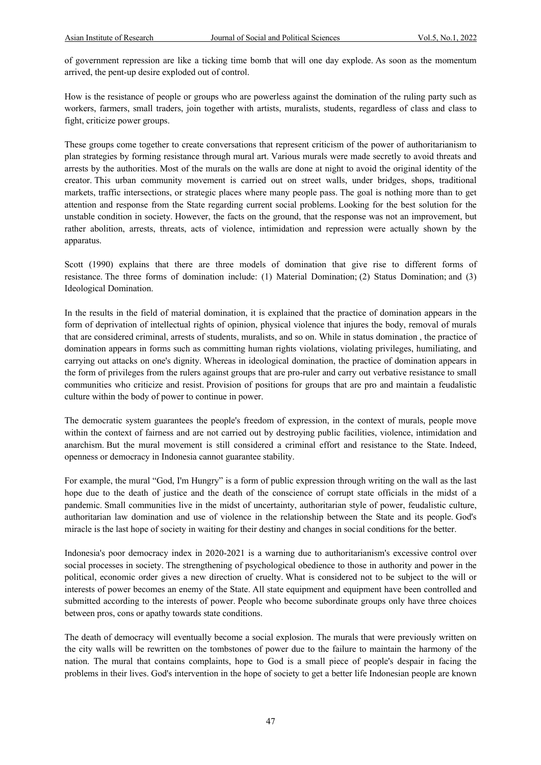of government repression are like a ticking time bomb that will one day explode. As soon as the momentum arrived, the pent-up desire exploded out of control.

How is the resistance of people or groups who are powerless against the domination of the ruling party such as workers, farmers, small traders, join together with artists, muralists, students, regardless of class and class to fight, criticize power groups.

These groups come together to create conversations that represent criticism of the power of authoritarianism to plan strategies by forming resistance through mural art. Various murals were made secretly to avoid threats and arrests by the authorities. Most of the murals on the walls are done at night to avoid the original identity of the creator. This urban community movement is carried out on street walls, under bridges, shops, traditional markets, traffic intersections, or strategic places where many people pass. The goal is nothing more than to get attention and response from the State regarding current social problems. Looking for the best solution for the unstable condition in society. However, the facts on the ground, that the response was not an improvement, but rather abolition, arrests, threats, acts of violence, intimidation and repression were actually shown by the apparatus.

Scott (1990) explains that there are three models of domination that give rise to different forms of resistance. The three forms of domination include: (1) Material Domination; (2) Status Domination; and (3) Ideological Domination.

In the results in the field of material domination, it is explained that the practice of domination appears in the form of deprivation of intellectual rights of opinion, physical violence that injures the body, removal of murals that are considered criminal, arrests of students, muralists, and so on. While in status domination , the practice of domination appears in forms such as committing human rights violations, violating privileges, humiliating, and carrying out attacks on one's dignity. Whereas in ideological domination, the practice of domination appears in the form of privileges from the rulers against groups that are pro-ruler and carry out verbative resistance to small communities who criticize and resist. Provision of positions for groups that are pro and maintain a feudalistic culture within the body of power to continue in power.

The democratic system guarantees the people's freedom of expression, in the context of murals, people move within the context of fairness and are not carried out by destroying public facilities, violence, intimidation and anarchism. But the mural movement is still considered a criminal effort and resistance to the State. Indeed, openness or democracy in Indonesia cannot guarantee stability.

For example, the mural "God, I'm Hungry" is a form of public expression through writing on the wall as the last hope due to the death of justice and the death of the conscience of corrupt state officials in the midst of a pandemic. Small communities live in the midst of uncertainty, authoritarian style of power, feudalistic culture, authoritarian law domination and use of violence in the relationship between the State and its people. God's miracle is the last hope of society in waiting for their destiny and changes in social conditions for the better.

Indonesia's poor democracy index in 2020-2021 is a warning due to authoritarianism's excessive control over social processes in society. The strengthening of psychological obedience to those in authority and power in the political, economic order gives a new direction of cruelty. What is considered not to be subject to the will or interests of power becomes an enemy of the State. All state equipment and equipment have been controlled and submitted according to the interests of power. People who become subordinate groups only have three choices between pros, cons or apathy towards state conditions.

The death of democracy will eventually become a social explosion. The murals that were previously written on the city walls will be rewritten on the tombstones of power due to the failure to maintain the harmony of the nation. The mural that contains complaints, hope to God is a small piece of people's despair in facing the problems in their lives. God's intervention in the hope of society to get a better life Indonesian people are known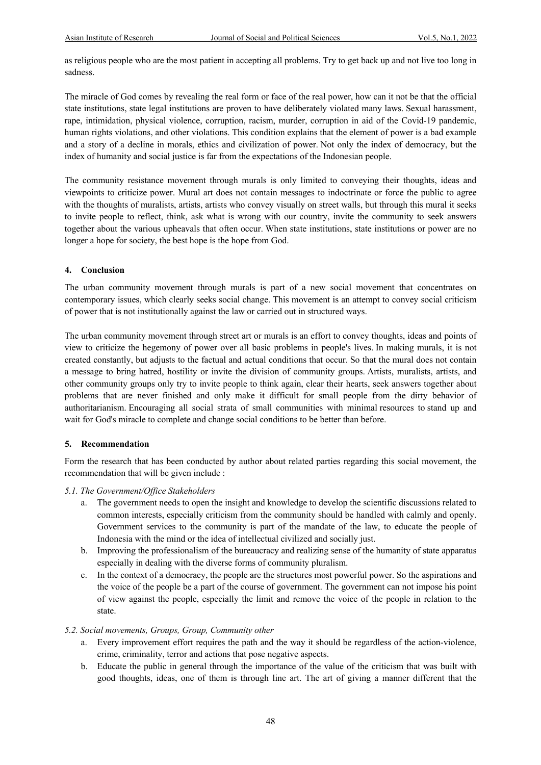as religious people who are the most patient in accepting all problems. Try to get back up and not live too long in sadness.

The miracle of God comes by revealing the real form or face of the real power, how can it not be that the official state institutions, state legal institutions are proven to have deliberately violated many laws. Sexual harassment, rape, intimidation, physical violence, corruption, racism, murder, corruption in aid of the Covid-19 pandemic, human rights violations, and other violations. This condition explains that the element of power is a bad example and a story of a decline in morals, ethics and civilization of power. Not only the index of democracy, but the index of humanity and social justice is far from the expectations of the Indonesian people.

The community resistance movement through murals is only limited to conveying their thoughts, ideas and viewpoints to criticize power. Mural art does not contain messages to indoctrinate or force the public to agree with the thoughts of muralists, artists, artists who convey visually on street walls, but through this mural it seeks to invite people to reflect, think, ask what is wrong with our country, invite the community to seek answers together about the various upheavals that often occur. When state institutions, state institutions or power are no longer a hope for society, the best hope is the hope from God.

#### **4. Conclusion**

The urban community movement through murals is part of a new social movement that concentrates on contemporary issues, which clearly seeks social change. This movement is an attempt to convey social criticism of power that is not institutionally against the law or carried out in structured ways.

The urban community movement through street art or murals is an effort to convey thoughts, ideas and points of view to criticize the hegemony of power over all basic problems in people's lives. In making murals, it is not created constantly, but adjusts to the factual and actual conditions that occur. So that the mural does not contain a message to bring hatred, hostility or invite the division of community groups. Artists, muralists, artists, and other community groups only try to invite people to think again, clear their hearts, seek answers together about problems that are never finished and only make it difficult for small people from the dirty behavior of authoritarianism. Encouraging all social strata of small communities with minimal resources to stand up and wait for God's miracle to complete and change social conditions to be better than before.

#### **5. Recommendation**

Form the research that has been conducted by author about related parties regarding this social movement, the recommendation that will be given include :

#### *5.1. The Government/Office Stakeholders*

- a. The government needs to open the insight and knowledge to develop the scientific discussions related to common interests, especially criticism from the community should be handled with calmly and openly. Government services to the community is part of the mandate of the law, to educate the people of Indonesia with the mind or the idea of intellectual civilized and socially just.
- b. Improving the professionalism of the bureaucracy and realizing sense of the humanity of state apparatus especially in dealing with the diverse forms of community pluralism.
- c. In the context of a democracy, the people are the structures most powerful power. So the aspirations and the voice of the people be a part of the course of government. The government can not impose his point of view against the people, especially the limit and remove the voice of the people in relation to the state.

#### *5.2. Social movements, Groups, Group, Community other*

- a. Every improvement effort requires the path and the way it should be regardless of the action-violence, crime, criminality, terror and actions that pose negative aspects.
- b. Educate the public in general through the importance of the value of the criticism that was built with good thoughts, ideas, one of them is through line art. The art of giving a manner different that the